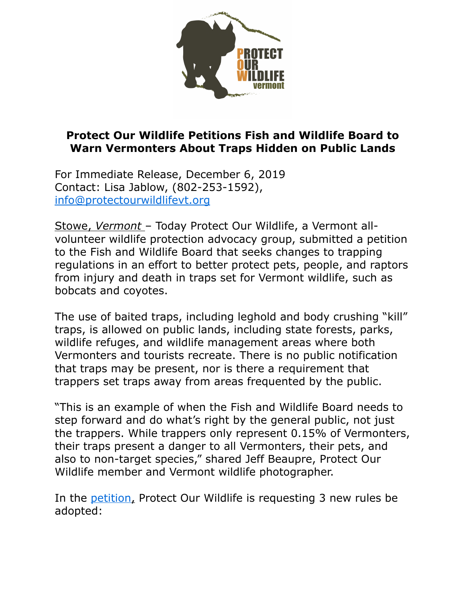

## **Protect Our Wildlife Petitions Fish and Wildlife Board to Warn Vermonters About Traps Hidden on Public Lands**

For Immediate Release, December 6, 2019 Contact: Lisa Jablow, (802-253-1592), [info@protectourwildlifevt.org](mailto:info@protectourwildlifevt.org)

Stowe, *Vermont* – Today Protect Our Wildlife, a Vermont allvolunteer wildlife protection advocacy group, submitted a petition to the Fish and Wildlife Board that seeks changes to trapping regulations in an effort to better protect pets, people, and raptors from injury and death in traps set for Vermont wildlife, such as bobcats and coyotes.

The use of baited traps, including leghold and body crushing "kill" traps, is allowed on public lands, including state forests, parks, wildlife refuges, and wildlife management areas where both Vermonters and tourists recreate. There is no public notification that traps may be present, nor is there a requirement that trappers set traps away from areas frequented by the public.

"This is an example of when the Fish and Wildlife Board needs to step forward and do what's right by the general public, not just the trappers. While trappers only represent 0.15% of Vermonters, their traps present a danger to all Vermonters, their pets, and also to non-target species," shared Jeff Beaupre, Protect Our Wildlife member and Vermont wildlife photographer.

In the [petition](https://docdro.id/aWYMyA5), Protect Our Wildlife is requesting 3 new rules be adopted: